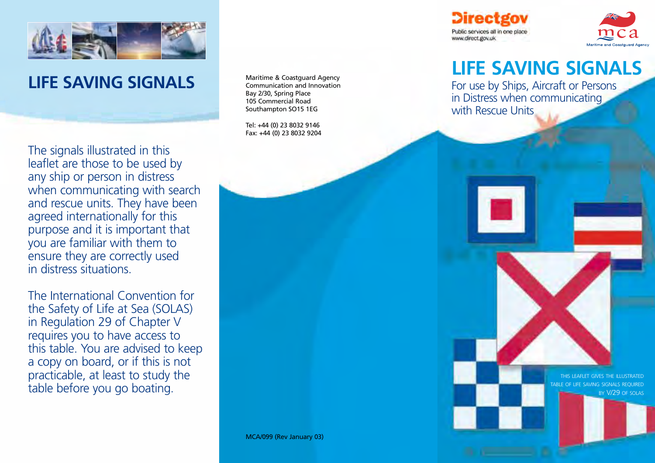

# **LIFE SAVING SIGNALS**

The signals illustrated in this leaflet are those to be used by any ship or person in distress when communicating with search and rescue units. They have been agreed internationally for this purpose and it is important that you are familiar with them to ensure they are correctly used in distress situations.

The International Convention for the Safety of Life at Sea (SOLAS) in Regulation 29 of Chapter V requires you to have access to this table. You are advised to keep a copy on board, or if this is not practicable, at least to study the table before you go boating.

Maritime & Coastguard Agency Communication and Innovation Bay 2/30, Spring Place 105 Commercial Road Southampton SO15 1EG

Tel: +44 (0) 23 8032 9146 Fax: +44 (0) 23 8032 9204 **Directgov** Public services all in one place www.direct.gov.uk



# **LIFE SAVING SIGNALS**

For use by Ships, Aircraft or Persons in Distress when communicating with Rescue Units

> THIS LEAFLET GIVES THE ILLUSTRATED TABLE OF LIFE SAVING SIGNALS REQUIRED BY V/29 OF SOLAS